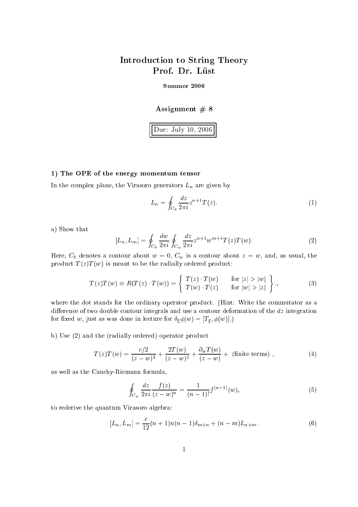# Introdu
tion to String Theory Prof. Dr. Lüst

### Summer <sup>2006</sup>

## Assignment  $# 8$

Due: July 10, <sup>2006</sup>

### $1$ , The OPE of the energy momentum tensor momentum tensor momentum tensor momentum tensor momentum tensor momentum tensor momentum tensor momentum tensor momentum tensor momentum tensor momentum tensor momentum tensor mo

In the complex plane, the Virasoro generators  $L_n$  are given by

$$
L_n = \oint_{C_0} \frac{dz}{2\pi i} z^{n+1} T(z).
$$
 (1)

a) Show that

$$
[L_n, L_m] = \oint_{C_0} \frac{dw}{2\pi i} \oint_{C_w} \frac{dz}{2\pi i} z^{n+1} w^{m+1} T(z) T(w).
$$
 (2)

Here,  $C_0$  denotes a contour about  $w = 0$ ,  $C_w$  is a contour about  $z = w$ , and, as usual, the product  $T(z)T(w)$  is meant to be the radially ordered product:

$$
T(z)T(w) \equiv R(T(z) \cdot T(w)) = \begin{cases} T(z) \cdot T(w) & \text{for } |z| > |w| \\ T(w) \cdot T(z) & \text{for } |w| > |z| \end{cases},
$$
 (3)

where the dot stands for the ordinary operator product. (Hint: Write the commutator as a difference of two double contour integrals and use a contour deformation of the dz integration for fixed w, just as was done in lecture for  $\delta_{\xi} \phi(w) = [T_{\xi}, \phi(w)].$ 

b) Use  $(2)$  and the (radially ordered) operator product

$$
T(z)T(w) = \frac{c/2}{(z-w)^4} + \frac{2T(w)}{(z-w)^2} + \frac{\partial_w T(w)}{(z-w)} + \text{(finite terms)},
$$
\n(4)

as well as the Cau
hy-Riemann formula,

$$
\oint_{C_w} \frac{dz}{2\pi i} \frac{f(z)}{(z-w)^n} = \frac{1}{(n-1)!} f^{(n-1)}(w),\tag{5}
$$

to rederive the quantum Virasoro algebra:

$$
[L_n, L_m] = \frac{c}{12}(n+1)n(n-1)\delta_{m+n} + (n-m)L_{n+m}.
$$
 (6)